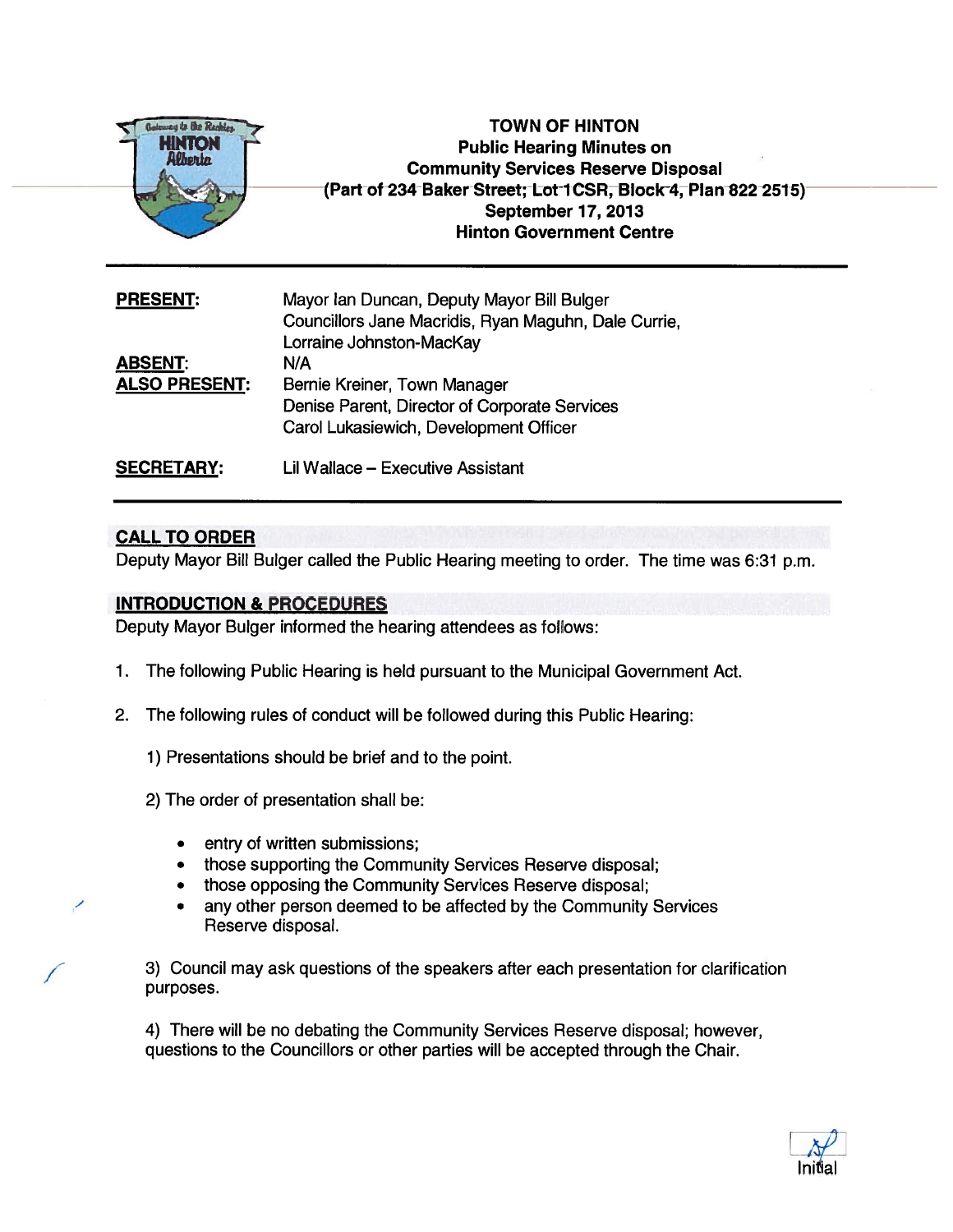

TOWN OF HINTON Public Hearing Minutes on Community Services Reserve Disposal (Part of 234 Baker Street; Lot 1CSR, Block 4, Plan 822 2515) September 17, 2013 Hinton Government Centre

| <b>PRESENT:</b>                        | Mayor Ian Duncan, Deputy Mayor Bill Bulger<br>Councillors Jane Macridis, Ryan Maguhn, Dale Currie<br>Lorraine Johnston-MacKay  |
|----------------------------------------|--------------------------------------------------------------------------------------------------------------------------------|
| <b>ABSENT:</b><br><b>ALSO PRESENT:</b> | N/A<br>Bernie Kreiner, Town Manager<br>Denise Parent, Director of Corporate Services<br>Carol Lukasiewich, Development Officer |
| <b>SECRETARY:</b>                      | Lil Wallace – Executive Assistant                                                                                              |

## CALL TO ORDER

/

Deputy Mayor Bill Bulger called the Public Hearing meeting to order. The time was 6:31 p.m.

## INTRODUCTION & PROCEDURES

Deputy Mayor Bulger informed the hearing attendees as follows:

- 1. The following Public Hearing is held pursuan<sup>t</sup> to the Municipal Government Act.
- 2. The following rules of conduct will be followed during this Public Hearing:
	- 1) Presentations should be brief and to the point.
	- 2) The order of presentation shall be:
		- entry of written submissions;
		- •those supporting the Community Services Reserve disposal;
		- •those opposing the Community Services Reserve disposal;
		- • any other person deemed to be affected by the Community Services Reserve disposal.

3) Council may ask questions of the speakers after each presentation for clarification purposes.

4) There will be no debating the Community Services Reserve disposal; however, questions to the Councillors or other parties will be accepted through the Chair.

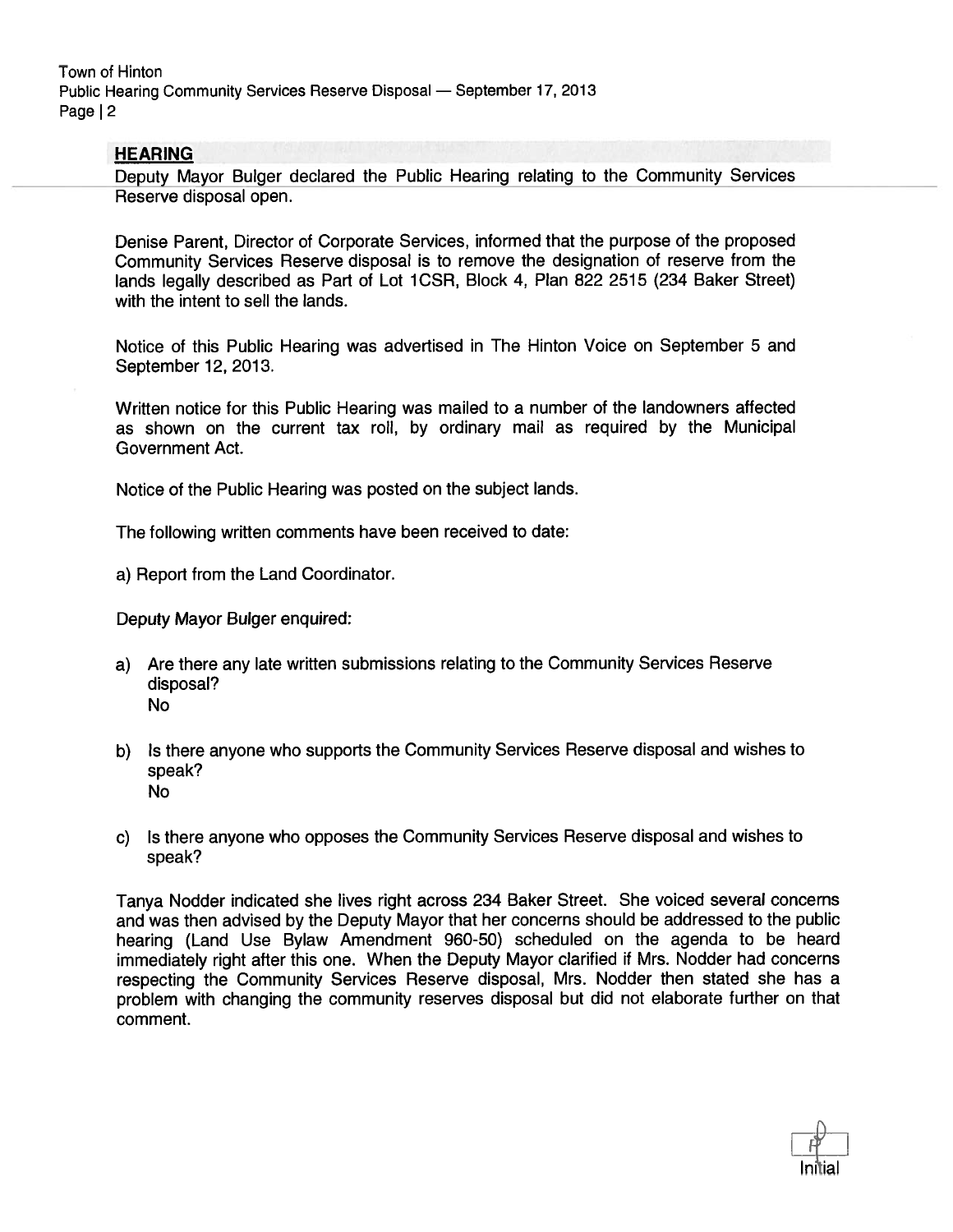## **HEARING**

Deputy Mayor Bulger declared the Public Hearing relating to the Community Services Reserve disposal open.

Denise Parent, Director of Corporate Services, informed that the purpose of the proposed Community Services Reserve disposal is to remove the designation of reserve from the lands legally described as Part of Lot 1CSR, Block 4, Plan 822 2515 (234 Baker Street) with the intent to sell the lands.

Notice of this Public Hearing was advertised in The Hinton Voice on September 5 and September 12, 2013.

Written notice for this Public Hearing was mailed to <sup>a</sup> number of the landowners affected as shown on the current tax roll, by ordinary mail as required by the Municipal Government Act.

Notice of the Public Hearing was posted on the subject lands.

The following written comments have been received to date:

a) Report from the Land Coordinator.

Deputy Mayor Bulger enquired:

- a) Are there any late written submissions relating to the Community Services Reserve disposal? No
- b) Is there anyone who supports the Community Services Reserve disposal and wishes to speak? No
- c) Is there anyone who opposes the Community Services Reserve disposal and wishes to speak?

Tanya Nodder indicated she lives right across 234 Baker Street. She voiced several concerns and was then advised by the Deputy Mayor that her concerns should be addressed to the public hearing (Land Use Bylaw Amendment 960-50) scheduled on the agenda to be heard immediately right after this one. When the Deputy Mayor clarified if Mrs. Nodder had concerns respecting the Community Services Reserve disposal, Mrs. Nodder then stated she has <sup>a</sup> problem with changing the community reserves disposal but did not elaborate further on that comment.

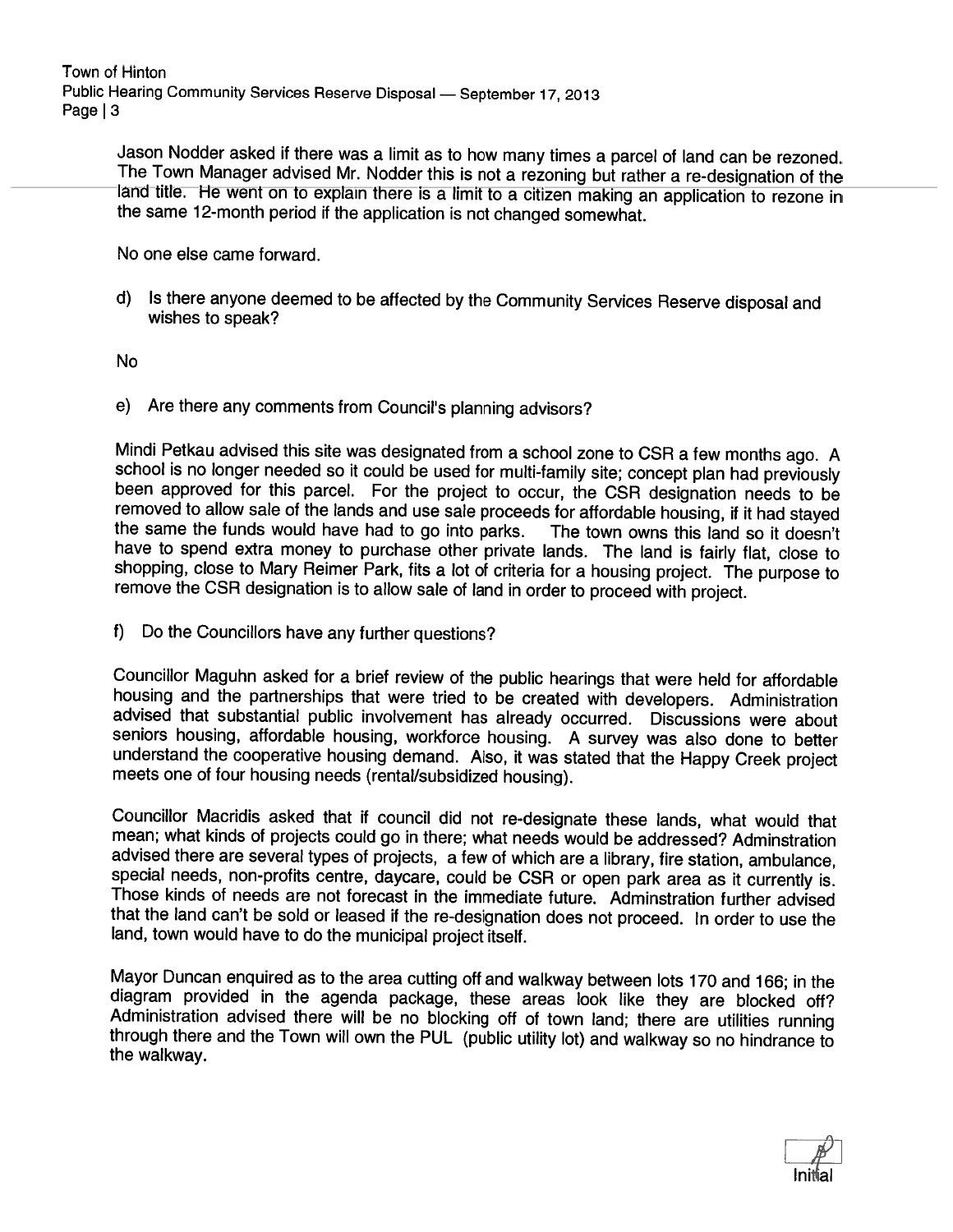Town of Hinton Public Hearing Community Services Reserve Disposal — September 17, <sup>2013</sup> Page | 3

Jason Nodder asked if there was a limit as to how many times a parcel of land can be rezoned.<br>The Town Manager advised Mr. Nodder this is not a rezoning but rather a re-designation of the land title. He went on to explain

No one else came forward.

d) Is there anyone deemed to be affected by the Community Services Reserve disposal and wishes to speak?

No

e) Are there any comments from Council's <sup>p</sup>lanning advisors?

Mindi Petkau advised this site was designated from a school zone to CSR a few months ago. A school is no longer needed so it could be used for multi-family site; concept plan had previously been approved for this parcel. F shopping, close to Mary Reimer Park, fits a lot of criteria for a housing project. The purpose to remove the CSR designation is to allow sale of land in order to proceed with project.

f) Do the Councillors have any further questions?

Councillor Maguhn asked for <sup>a</sup> brief review of the public hearings that were held for affordable advised that substantial public involvement has already occurred. Discussions were about seniors housing, affordable housing, workforce housing. A survey was also done to better understand the cooperative housing demand. Also, it was stated that the Happy Creek project meets one of four housing needs (rental/subsidized housing).

Councillor Macridis asked that if council did not re-designate these lands, what would that mean; what kinds of projects could go in there; what needs would be addressed? Adminstration advised there are several types of projects, a few of which are a library, fire station, ambulance, special needs, non-profits centre, daycare, could be CSR or open park area as it currently is. Those kinds of needs are not forecast in the immediate future. Adminstration further advised that the land can't be sold or leased if the re-designation does not proceed. In order to use the land, town would have to do the municipal project itself.

Mayor Duncan enquired as to the area cutting off and walkway between lots 170 and 166; in the diagram provided in the agenda package, these areas look like they are blocked off?<br>Administration advised there will be no bloc

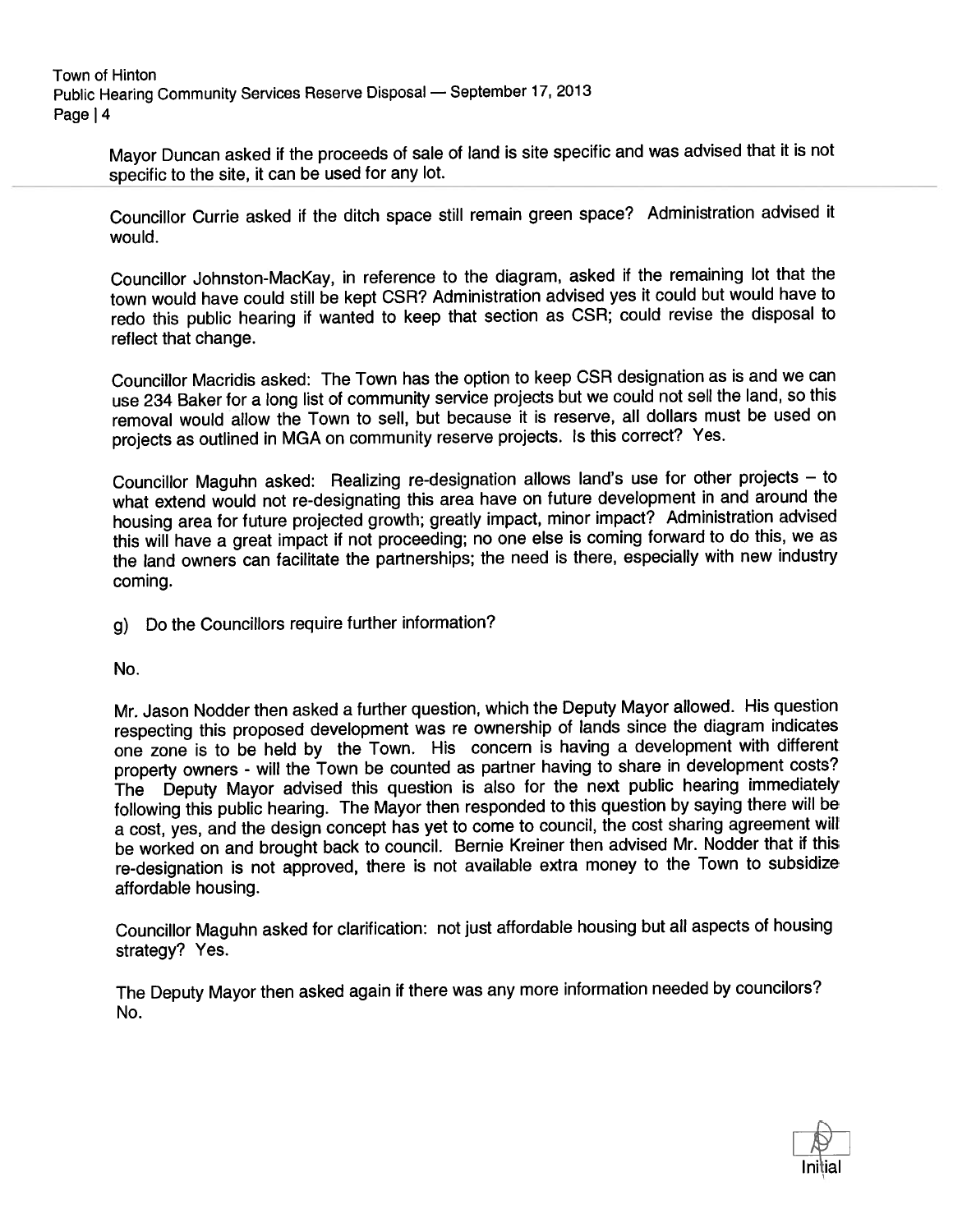Town of Hinton Public Hearing Community Services Reserve Disposal — September 17, <sup>2013</sup> Page 14

> Mayor Duncan asked if the proceeds of sale of land is site specific and was advised that it is not specific to the site, it can be used for any lot.

> Councillor Currie asked if the ditch space still remain green space? Administration advised it would.

> Councillor Johnston-MacKay, in reference to the diagram, asked if the remaining lot that the town would have could still be kept CSR? Administration advised yes it could but would have to redo this public hearing if wanted to keep that section as CSR; could revise the disposal to reflect that change.

> Councillor Macridis asked: The Town has the option to keep CSR designation as is and we can use <sup>234</sup> Baker for <sup>a</sup> long list of community service projects but we could not sell the land, so this removal would allow the Town to sell, but because it is reserve, all dollars must be used on projects as outlined in MGA on community reserve projects. Is this correct? Yes.

> Councillor Maguhn asked: Realizing re-designation allows land's use for other projects — to what extend would not re-designating this area have on future development in and around the housing area for future projected growth; greatly impact, minor impact? Administration advised this will have <sup>a</sup> grea<sup>t</sup> impact if not proceeding; no one else is coming forward to do this, we as the land owners can facilitate the partnerships; the need is there, especially with new industry coming.

g) Do the Councillors require further information?

No.

Mr. Jason Nodder then asked <sup>a</sup> further question, which the Deputy Mayor allowed. His question respecting this propose<sup>d</sup> development was re ownership of lands since the diagram indicates one zone is to be held by the Town. His concern is having <sup>a</sup> development with different property owners - will the Town be counted as partner having to share in development costs? The Deputy Mayor advised this question is also for the next public hearing immediately following this public hearing. The Mayor then responded to this question by saying there will be <sup>a</sup> cost, yes, and the design concep<sup>t</sup> has ye<sup>t</sup> to come to council, the cost sharing agreemen<sup>t</sup> will be worked on and brought back to council. Bernie Kreiner then advised Mr. Nodder that if this re-designation is not approved, there is not available extra money to the Town to subsidize affordable housing.

Councillor Maguhn asked for clarification: not just affordable housing but all aspects of housing strategy? Yes.

The Deputy Mayor then asked again if there was any more information needed by councilors? No.